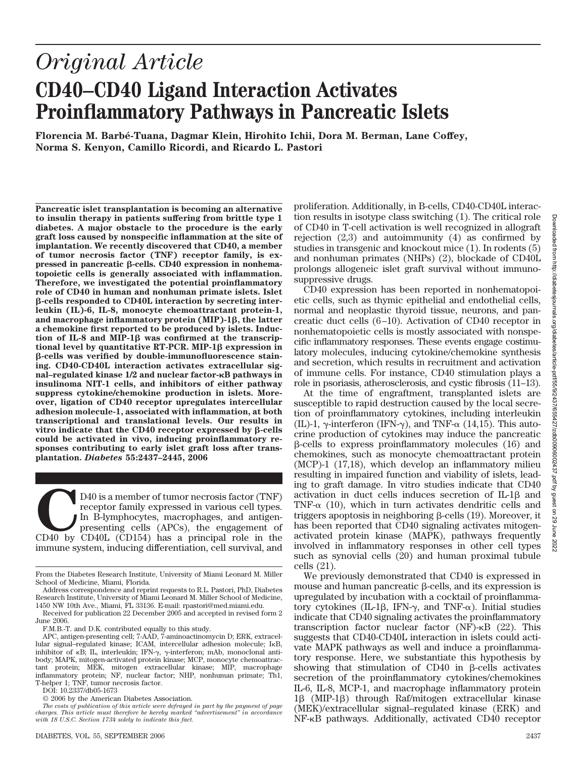# *Original Article* **CD40–CD40 Ligand Interaction Activates Proinflammatory Pathways in Pancreatic Islets**

**Florencia M. Barbe´-Tuana, Dagmar Klein, Hirohito Ichii, Dora M. Berman, Lane Coffey, Norma S. Kenyon, Camillo Ricordi, and Ricardo L. Pastori**

**Pancreatic islet transplantation is becoming an alternative to insulin therapy in patients suffering from brittle type 1 diabetes. A major obstacle to the procedure is the early graft loss caused by nonspecific inflammation at the site of implantation. We recently discovered that CD40, a member of tumor necrosis factor (TNF) receptor family, is expressed in pancreatic β-cells. CD40 expression in nonhematopoietic cells is generally associated with inflammation. Therefore, we investigated the potential proinflammatory role of CD40 in human and nonhuman primate islets. Islet -cells responded to CD40L interaction by secreting interleukin (IL)-6, IL-8, monocyte chemoattractant protein-1, and macrophage inflammatory protein (MIP)-1, the latter a chemokine first reported to be produced by islets. Induc**tion of IL-8 and MIP-1 $\beta$  was confirmed at the transcrip**tional level by quantitative RT-PCR. MIP-1** $\beta$  **expression in -cells was verified by double-immunofluorescence staining. CD40-CD40L interaction activates extracellular signal–regulated kinase 1/2 and nuclear factor-**-**B pathways in insulinoma NIT-1 cells, and inhibitors of either pathway suppress cytokine/chemokine production in islets. Moreover, ligation of CD40 receptor upregulates intercellular adhesion molecule-1, associated with inflammation, at both transcriptional and translational levels. Our results in** vitro indicate that the CD40 receptor expressed by  $\beta$ -cells **could be activated in vivo, inducing proinflammatory responses contributing to early islet graft loss after transplantation.** *Diabetes* **55:2437–2445, 2006**

D40 is a member of tumor necrosis factor (TNF)<br>receptor family expressed in various cell types.<br>In B-lymphocytes, macrophages, and antigen-<br>presenting cells (APCs), the engagement of<br>CD40 by CD40L (CD154) has a principal r receptor family expressed in various cell types. In B-lymphocytes, macrophages, and antigenpresenting cells (APCs), the engagement of immune system, inducing differentiation, cell survival, and

DOI: 10.2337/db05-1673

© 2006 by the American Diabetes Association.

proliferation. Additionally, in B-cells, CD40-CD40L interaction results in isotype class switching (1). The critical role of CD40 in T-cell activation is well recognized in allograft rejection  $(2,3)$  and autoimmunity  $(4)$  as confirmed by studies in transgenic and knockout mice (1). In rodents (5) and nonhuman primates (NHPs) (2), blockade of CD40L prolongs allogeneic islet graft survival without immunosuppressive drugs.

CD40 expression has been reported in nonhematopoietic cells, such as thymic epithelial and endothelial cells, normal and neoplastic thyroid tissue, neurons, and pancreatic duct cells (6 –10). Activation of CD40 receptor in nonhematopoietic cells is mostly associated with nonspecific inflammatory responses. These events engage costimulatory molecules, inducing cytokine/chemokine synthesis and secretion, which results in recruitment and activation of immune cells. For instance, CD40 stimulation plays a role in psoriasis, atherosclerosis, and cystic fibrosis (11–13).

At the time of engraftment, transplanted islets are susceptible to rapid destruction caused by the local secretion of proinflammatory cytokines, including interleukin (IL)-1,  $\gamma$ -interferon (IFN- $\gamma$ ), and TNF- $\alpha$  (14,15). This autocrine production of cytokines may induce the pancreatic  $\beta$ -cells to express proinflammatory molecules (16) and chemokines, such as monocyte chemoattractant protein (MCP)-1 (17,18), which develop an inflammatory milieu resulting in impaired function and viability of islets, leading to graft damage. In vitro studies indicate that CD40 activation in duct cells induces secretion of  $IL-1\beta$  and TNF- $\alpha$  (10), which in turn activates dendritic cells and triggers apoptosis in neighboring  $\beta$ -cells (19). Moreover, it has been reported that CD40 signaling activates mitogenactivated protein kinase (MAPK), pathways frequently involved in inflammatory responses in other cell types such as synovial cells (20) and human proximal tubule cells (21).

We previously demonstrated that CD40 is expressed in mouse and human pancreatic  $\beta$ -cells, and its expression is upregulated by incubation with a cocktail of proinflammatory cytokines (IL-1 $\beta$ , IFN- $\gamma$ , and TNF- $\alpha$ ). Initial studies indicate that CD40 signaling activates the proinflammatory transcription factor nuclear factor (NF)- $\kappa$ B (22). This suggests that CD40-CD40L interaction in islets could activate MAPK pathways as well and induce a proinflammatory response. Here, we substantiate this hypothesis by showing that stimulation of CD40 in  $\beta$ -cells activates secretion of the proinflammatory cytokines/chemokines IL-6, IL-8, MCP-1, and macrophage inflammatory protein  $1\beta$  (MIP-1 $\beta$ ) through Raf/mitogen extracellular kinase (MEK)/extracellular signal–regulated kinase (ERK) and NF-KB pathways. Additionally, activated CD40 receptor

From the Diabetes Research Institute, University of Miami Leonard M. Miller School of Medicine, Miami, Florida.

Address correspondence and reprint requests to R.L. Pastori, PhD, Diabetes Research Institute, University of Miami Leonard M. Miller School of Medicine, 1450 NW 10th Ave., Miami, FL 33136. E-mail: rpastori@med.miami.edu.

Received for publication 22 December 2005 and accepted in revised form 2 June 2006.

F.M.B.-T. and D.K. contributed equally to this study.

APC, antigen-presenting cell; 7-AAD, 7-aminoactinomycin D; ERK, extracellular signal–regulated kinase; ICAM, intercellular adhesion molecule; I<sub>K</sub>B, inhibitor of  $\kappa$ B; IL, interleukin; IFN- $\gamma$ ,  $\gamma$ -interferon; mAb, monoclonal antibody; MAPK, mitogen-activated protein kinase; MCP, monocyte chemoattractant protein; MEK, mitogen extracellular kinase; MIP, macrophage inflammatory protein; NF, nuclear factor; NHP, nonhuman primate; Th1, T-helper 1; TNF, tumor necrosis factor.

*The costs of publication of this article were defrayed in part by the payment of page charges. This article must therefore be hereby marked "advertisement" in accordance with 18 U.S.C. Section 1734 solely to indicate this fact.*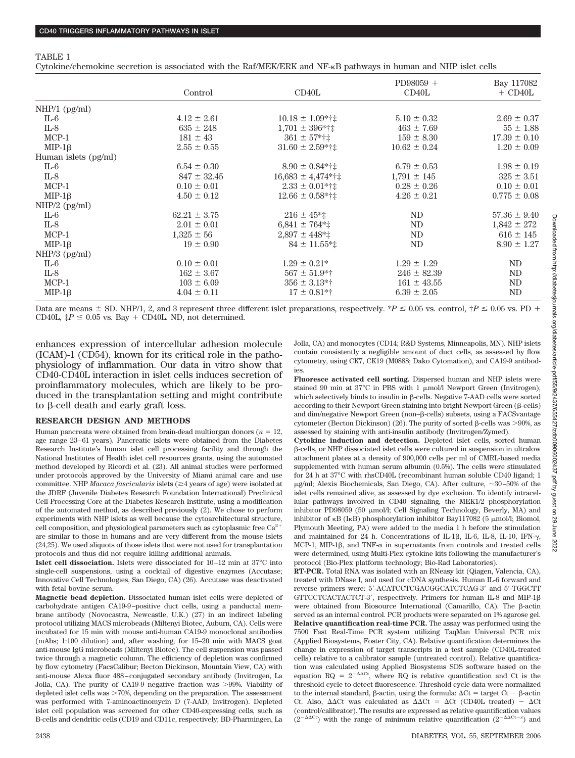#### TABLE 1

Cytokine/chemokine secretion is associated with the Raf/MEK/ERK and NF- $\kappa$ B pathways in human and NHP islet cells

|                      | Control          | CD40L                        | $PD98059 +$<br>CD40L | Bay 117082<br>$+$ CD40L |
|----------------------|------------------|------------------------------|----------------------|-------------------------|
|                      |                  |                              |                      |                         |
| NHP/1 (pg/ml)        |                  |                              |                      |                         |
| $IL-6$               | $4.12 \pm 2.61$  | $10.18 \pm 1.09$ *†‡         | $5.10 \pm 0.32$      | $2.69 \pm 0.37$         |
| $IL-8$               | $635 \pm 248$    | $1,701 \pm 396$ *†‡          | $463 \pm 7.69$       | $55 \pm 1.88$           |
| $MCP-1$              | $181 \pm 43$     | $361 \pm 57$ *†‡             | $159 \pm 8.30$       | $17.39 \pm 0.10$        |
| $MIP-1\beta$         | $2.55 \pm 0.55$  | $31.60 \pm 2.59$ *†‡         | $10.62 \pm 0.24$     | $1.20 \pm 0.09$         |
| Human islets (pg/ml) |                  |                              |                      |                         |
| IL-6                 | $6.54 \pm 0.30$  | $8.90 \pm 0.84$ *†‡          | $6.79 \pm 0.53$      | $1.98 \pm 0.19$         |
| IL-8                 | $847 \pm 32.45$  | $16,683 \pm 4,474$ *†‡       | $1,791 \pm 145$      | $325 \pm 3.51$          |
| $MCP-1$              | $0.10 \pm 0.01$  | $2.33 \pm 0.01$ *†‡          | $0.28 \pm 0.26$      | $0.10 \pm 0.01$         |
| $MIP-1\beta$         | $4.50 \pm 0.12$  | $12.66 \pm 0.58$ *†‡         | $4.26 \pm 0.21$      | $0.775 \pm 0.08$        |
| NHP/2 (pg/ml)        |                  |                              |                      |                         |
| IL-6                 | $62.21 \pm 3.75$ | $216 \pm 45$ <sup>*</sup>    | ND                   | $57.36 \pm 9.40$        |
| $IL-8$               | $2.01 \pm 0.01$  | $6,841 \pm 764$ <sup>*</sup> | ND                   | $1,842 \pm 272$         |
| $MCP-1$              | $1,325 \pm 56$   | $2,897 \pm 448$ <sup>*</sup> | ND                   | $616 \pm 145$           |
| $MIP-1\beta$         | $19 \pm 0.90$    | $84 \pm 11.55**$             | ND                   | $8.90 \pm 1.27$         |
| $NHP/3$ (pg/ml)      |                  |                              |                      |                         |
| IL-6                 | $0.10 \pm 0.01$  | $1.29 \pm 0.21^*$            | $1.29 \pm 1.29$      | ND                      |
| IL-8                 | $162 \pm 3.67$   | $567 \pm 51.9$ *†            | $246 \pm 82.39$      | ND                      |
| $MCP-1$              | $103 \pm 6.09$   | $356 \pm 3.13$ *†            | $161 \pm 43.55$      | ND                      |
| $MIP-1\beta$         | $4.04 \pm 0.11$  | $17 \pm 0.81**$              | $6.39 \pm 2.05$      | ND                      |

Data are means  $\pm$  SD. NHP/1, 2, and 3 represent three different islet preparations, respectively.  $P \le 0.05$  vs. control,  $\dagger P \le 0.05$  vs. PD + CD40L,  $\ddagger P \leq 0.05$  vs. Bay + CD40L. ND, not determined.

enhances expression of intercellular adhesion molecule (ICAM)-1 (CD54), known for its critical role in the pathophysiology of inflammation. Our data in vitro show that CD40-CD40L interaction in islet cells induces secretion of proinflammatory molecules, which are likely to be produced in the transplantation setting and might contribute to  $\beta$ -cell death and early graft loss.

#### **RESEARCH DESIGN AND METHODS**

Human pancreata were obtained from brain-dead multiorgan donors ( $n = 12$ , age range 23– 61 years). Pancreatic islets were obtained from the Diabetes Research Institute's human islet cell processing facility and through the National Institutes of Health islet cell resources grants, using the automated method developed by Ricordi et al. (23). All animal studies were performed under protocols approved by the University of Miami animal care and use committee. NHP *Macaca fascicularis* islets ( $\geq$ 4 years of age) were isolated at the JDRF (Juvenile Diabetes Research Foundation International) Preclinical Cell Processing Core at the Diabetes Research Institute, using a modification of the automated method, as described previously (2). We chose to perform experiments with NHP islets as well because the cytoarchitectural structure, cell composition, and physiological parameters such as cytoplasmic free  $\rm Ca^{2+}$ are similar to those in humans and are very different from the mouse islets (24,25). We used aliquots of those islets that were not used for transplantation protocols and thus did not require killing additional animals.

**Islet cell dissociation.** Islets were dissociated for 10 –12 min at 37°C into single-cell suspensions, using a cocktail of digestive enzymes (Accutase; Innovative Cell Technologies, San Diego, CA) (26). Accutase was deactivated with fetal bovine serum.

**Magnetic bead depletion.** Dissociated human islet cells were depleted of carbohydrate antigen CA19-9 –positive duct cells, using a panductal membrane antibody (Novocastra, Newcastle, U.K.) (27) in an indirect labeling protocol utilizing MACS microbeads (Miltenyi Biotec, Auburn, CA). Cells were incubated for 15 min with mouse anti-human CA19-9 monoclonal antibodies (mAbs; 1:100 dilution) and, after washing, for 15–20 min with MACS goat anti-mouse IgG microbeads (Miltenyi Biotec). The cell suspension was passed twice through a magnetic column. The efficiency of depletion was confirmed by flow cytometry (FacsCalibur; Becton Dickinson, Mountain View, CA) with anti-mouse Alexa fluor 488 – conjugated secondary antibody (Invitrogen, La Jolla, CA). The purity of CA19-9 negative fraction was >99%. Viability of depleted islet cells was  $>70\%$ , depending on the preparation. The assessment was performed with 7-aminoactinomycin D (7-AAD; Invitrogen). Depleted islet cell population was screened for other CD40-expressing cells, such as B-cells and dendritic cells (CD19 and CD11c, respectively; BD-Pharmingen, La

Jolla, CA) and monocytes (CD14; R&D Systems, Minneapolis, MN). NHP islets contain consistently a negligible amount of duct cells, as assessed by flow cytometry, using CK7, CK19 (M0888; Dako Cytomation), and CA19-9 antibodies.

**Fluoresce activated cell sorting.** Dispersed human and NHP islets were stained 90 min at  $37^{\circ}$ C in PBS with 1  $\mu$ mol/l Newport Green (Invitrogen), which selectively binds to insulin in  $\beta$ -cells. Negative 7-AAD cells were sorted according to their Newport Green staining into bright Newport Green  $(\beta$ -cells) and dim/negative Newport Green (non– $\beta$ -cells) subsets, using a FACSvantage cytometer (Becton Dickinson) (26). The purity of sorted  $\beta$ -cells was >90%, as assessed by staining with anti-insulin antibody (Invitrogen/Zymed).

**Cytokine induction and detection.** Depleted islet cells, sorted human -cells, or NHP dissociated islet cells were cultured in suspension in ultralow attachment plates at a density of 900,000 cells per ml of CMRL-based media supplemented with human serum albumin (0.5%). The cells were stimulated for 24 h at 37°C with rhsCD40L (recombinant human soluble CD40 ligand; 1  $\mu$ g/ml; Alexis Biochemicals, San Diego, CA). After culture,  $\sim$ 30-50% of the islet cells remained alive, as assessed by dye exclusion. To identify intracellular pathways involved in CD40 signaling, the MEK1/2 phosphorylation inhibitor PD98059 (50 µmol/l; Cell Signaling Technology, Beverly, MA) and inhibitor of  $\kappa$ B (I $\kappa$ B) phosphorylation inhibitor Bay117082 (5  $\mu$ mol/l; Biomol, Plymouth Meeting, PA) were added to the media 1 h before the stimulation and maintained for 24 h. Concentrations of IL-18, IL-6, IL-8, IL-10, IFN- $\gamma$ , MCP-1, MIP-1 $\beta$ , and TNF- $\alpha$  in supernatants from controls and treated cells were determined, using Multi-Plex cytokine kits following the manufacturer's protocol (Bio-Plex platform technology; Bio-Rad Laboratories).

**RT-PCR.** Total RNA was isolated with an RNeasy kit (Qiagen, Valencia, CA), treated with DNase I, and used for cDNA synthesis. Human IL-6 forward and reverse primers were: 5 -ACATCCTCGACGGCATCTCAG-3 and 5 -TGGCTT GTTCCTCACTACTCT-3', respectively. Primers for human IL-8 and MIP-1ß were obtained from Biosource International (Camarillo, CA). The  $\beta$ -actin served as an internal control. PCR products were separated on 1% agarose gel. **Relative quantification real-time PCR.** The assay was performed using the 7500 Fast Real-Time PCR system utilizing TaqMan Universal PCR mix (Applied Biosystems, Foster City, CA). Relative quantification determines the change in expression of target transcripts in a test sample (CD40L-treated cells) relative to a calibrator sample (untreated control). Relative quantification was calculated using Applied Biosystems SDS software based on the equation RQ =  $2^{-\Delta\Delta Ct}$ , where RQ is relative quantification and Ct is the threshold cycle to detect fluorescence. Threshold cycle data were normalized to the internal standard,  $\beta$ -actin, using the formula:  $\Delta$ Ct = target Ct -  $\beta$ -actin Ct. Also,  $\Delta\Delta$ Ct was calculated as  $\Delta\Delta$ Ct =  $\Delta$ Ct (CD40L treated) -  $\Delta$ Ct (control/calibrator). The results are expressed as relative quantification values  $(2^{-\Delta\Delta Ct})$  with the range of minimum relative quantification  $(2^{-\Delta\Delta Ct-s})$  and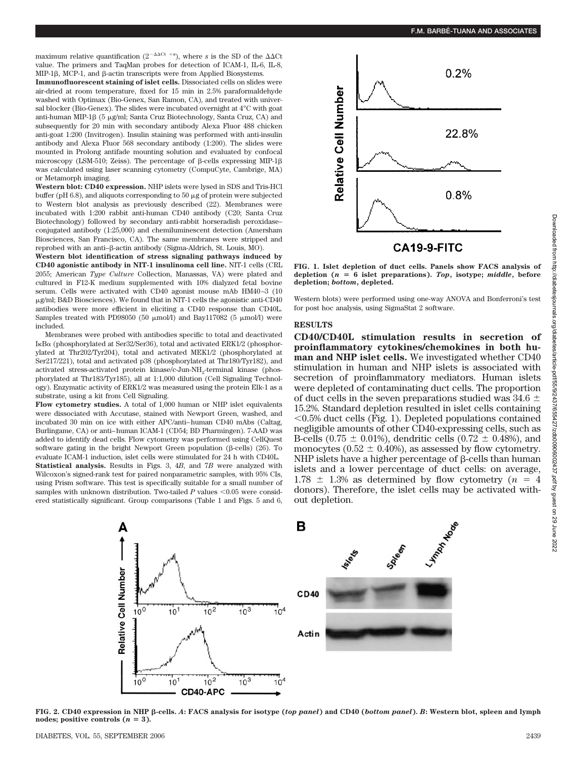maximum relative quantification  $(2^{-\Delta\Delta Ct}$  +s), where *s* is the SD of the  $\Delta\Delta Ct$ value. The primers and TaqMan probes for detection of ICAM-1, IL-6, IL-8, MIP-16, MCP-1, and 6-actin transcripts were from Applied Biosystems.

**Immunofluorescent staining of islet cells.** Dissociated cells on slides were air-dried at room temperature, fixed for 15 min in 2.5% paraformaldehyde washed with Optimax (Bio-Genex, San Ramon, CA), and treated with universal blocker (Bio-Genex). The slides were incubated overnight at 4°C with goat anti-human MIP-1 $\beta$  (5  $\mu$ g/ml; Santa Cruz Biotechnology, Santa Cruz, CA) and subsequently for 20 min with secondary antibody Alexa Fluor 488 chicken anti-goat 1:200 (Invitrogen). Insulin staining was performed with anti-insulin antibody and Alexa Fluor 568 secondary antibody (1:200). The slides were mounted in Prolong antifade mounting solution and evaluated by confocal microscopy (LSM-510; Zeiss). The percentage of  $\beta$ -cells expressing MIP-1 $\beta$ was calculated using laser scanning cytometry (CompuCyte, Cambrige, MA) or Metamorph imaging.

**Western blot: CD40 expression.** NHP islets were lysed in SDS and Tris-HCl buffer (pH 6.8), and aliquots corresponding to 50  $\mu$ g of protein were subjected to Western blot analysis as previously described (22). Membranes were incubated with 1:200 rabbit anti-human CD40 antibody (C20; Santa Cruz Biotechnology) followed by secondary anti-rabbit horseradish peroxidase– conjugated antibody (1:25,000) and chemiluminescent detection (Amersham Biosciences, San Francisco, CA). The same membranes were stripped and reprobed with an anti- $\beta$ -actin antibody (Sigma-Aldrich, St. Louis, MO).

**Western blot identification of stress signaling pathways induced by CD40 agonistic antibody in NIT-1 insulinoma cell line.** NIT-1 cells (CRL 2055; American *Type Culture* Collection, Manassas, VA) were plated and cultured in F12-K medium supplemented with 10% dialyzed fetal bovine serum. Cells were activated with CD40 agonist mouse mAb HM40-3 (10) g/ml; B&D Biosciences). We found that in NIT-1 cells the agonistic anti-CD40 antibodies were more efficient in eliciting a CD40 response than CD40L. Samples treated with PD98050 (50  $\mu$ mol/l) and Bay117082 (5  $\mu$ mol/l) were included.

Membranes were probed with antibodies specific to total and deactivated IκBα (phosphorylated at Ser32/Ser36), total and activated ERK1/2 (phosphorylated at Thr202/Tyr204), total and activated MEK1/2 (phosphorylated at Ser217/221), total and activated p38 (phosphorylated at Thr180/Tyr182), and activated stress-activated protein kinase/c-Jun-NH2-terminal kinase (phosphorylated at Thr183/Tyr185), all at 1:1,000 dilution (Cell Signaling Technology). Enzymatic activity of ERK1/2 was measured using the protein Elk-1 as a substrate, using a kit from Cell Signaling.

**Flow cytometry studies.** A total of 1,000 human or NHP islet equivalents were dissociated with Accutase, stained with Newport Green, washed, and incubated 30 min on ice with either APC/anti– human CD40 mAbs (Caltag, Burlingame, CA) or anti– human ICAM-1 (CD54; BD Pharmingen). 7-AAD was added to identify dead cells. Flow cytometry was performed using CellQuest software gating in the bright Newport Green population ( $\beta$ -cells) (26). To evaluate ICAM-1 induction, islet cells were stimulated for 24 h with CD40L. **Statistical analysis.** Results in Figs. 3, 4*B*, and 7*B* were analyzed with Wilcoxon's signed-rank test for paired nonparametric samples, with 95% CIs, using Prism software. This test is specifically suitable for a small number of samples with unknown distribution. Two-tailed  $P$  values  $\leq 0.05$  were considered statistically significant. Group comparisons (Table 1 and Figs. 5 and 6,



**FIG. 1. Islet depletion of duct cells. Panels show FACS analysis of** depletion  $(n = 6$  islet preparations). Top, isotype; middle, before **depletion;** *bottom***, depleted.**

Western blots) were performed using one-way ANOVA and Bonferroni's test for post hoc analysis, using SigmaStat 2 software.

#### **RESULTS**

**CD40/CD40L stimulation results in secretion of proinflammatory cytokines/chemokines in both human and NHP islet cells.** We investigated whether CD40 stimulation in human and NHP islets is associated with secretion of proinflammatory mediators. Human islets were depleted of contaminating duct cells. The proportion of duct cells in the seven preparations studied was 34.6  $\pm$ 15.2%. Standard depletion resulted in islet cells containing  $\leq 0.5\%$  duct cells (Fig. 1). Depleted populations contained negligible amounts of other CD40-expressing cells, such as B-cells (0.75  $\pm$  0.01%), dendritic cells (0.72  $\pm$  0.48%), and monocytes  $(0.52 \pm 0.40\%)$ , as assessed by flow cytometry. NHP islets have a higher percentage of  $\beta$ -cells than human islets and a lower percentage of duct cells: on average,  $1.78 \pm 1.3\%$  as determined by flow cytometry ( $n = 4$ ) donors). Therefore, the islet cells may be activated without depletion.



**FIG. 2. CD40 expression in NHP -cells.** *A***: FACS analysis for isotype (***top panel***) and CD40 (***bottom panel***).** *B***: Western blot, spleen and lymph** nodes; positive controls  $(n = 3)$ .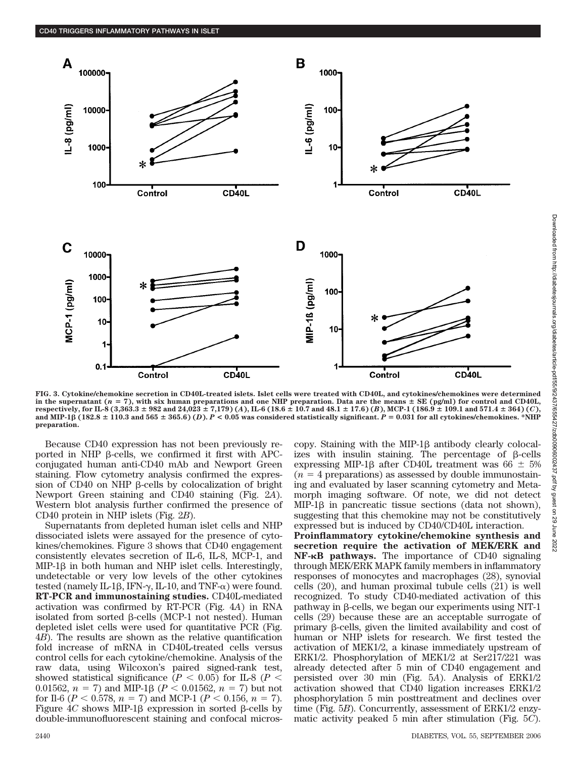

**FIG. 3. Cytokine/chemokine secretion in CD40L-treated islets. Islet cells were treated with CD40L, and cytokines/chemokines were determined** in the supernatant  $(n = 7)$ , with six human preparations and one NHP preparation. Data are the means  $\pm$  SE (pg/ml) for control and CD40L, respectively, for IL-8 (3,363.3  $\pm$  982 and 24,023  $\pm$  7,179) (A), IL-6 (18.6  $\pm$  10.7 and 48.1  $\pm$  17.6) (B), MCP-1 (186.9  $\pm$  109.1 and 571.4  $\pm$  364) (C), and MIP-1 $\beta$  (182.8  $\pm$  110.3 and 565  $\pm$  365.6) (*D*).  $P < 0.05$  was considered statistically significant.  $P = 0.031$  for all cytokines/chemokines. \*NHP **preparation.**

Because CD40 expression has not been previously reported in NHP  $\beta$ -cells, we confirmed it first with APCconjugated human anti-CD40 mAb and Newport Green staining. Flow cytometry analysis confirmed the expression of CD40 on NHP  $\beta$ -cells by colocalization of bright Newport Green staining and CD40 staining (Fig. 2*A*). Western blot analysis further confirmed the presence of CD40 protein in NHP islets (Fig. 2*B*).

Supernatants from depleted human islet cells and NHP dissociated islets were assayed for the presence of cytokines/chemokines. Figure 3 shows that CD40 engagement consistently elevates secretion of IL-6, IL-8, MCP-1, and  $MIP-1\beta$  in both human and NHP islet cells. Interestingly, undetectable or very low levels of the other cytokines tested (namely IL-1 $\beta$ , IFN- $\gamma$ , IL-10, and TNF- $\alpha$ ) were found. **RT-PCR and immunostaining studies.** CD40L-mediated activation was confirmed by RT-PCR (Fig. 4*A*) in RNA isolated from sorted  $\beta$ -cells (MCP-1 not nested). Human depleted islet cells were used for quantitative PCR (Fig. 4*B*). The results are shown as the relative quantification fold increase of mRNA in CD40L-treated cells versus control cells for each cytokine/chemokine. Analysis of the raw data, using Wilcoxon's paired signed-rank test, showed statistical significance ( $P < 0.05$ ) for IL-8 ( $P <$ 0.01562,  $n = 7$ ) and MIP-1 $\beta$  ( $P < 0.01562$ ,  $n = 7$ ) but not for Il-6 ( $P < 0.578$ ,  $n = 7$ ) and MCP-1 ( $P < 0.156$ ,  $n = 7$ ). Figure  $4C$  shows MIP-1 $\beta$  expression in sorted  $\beta$ -cells by double-immunofluorescent staining and confocal microscopy. Staining with the MIP-1 $\beta$  antibody clearly colocalizes with insulin staining. The percentage of  $\beta$ -cells expressing MIP-1 $\beta$  after CD40L treatment was 66  $\pm$  5%  $(n = 4$  preparations) as assessed by double immunostaining and evaluated by laser scanning cytometry and Metamorph imaging software. Of note, we did not detect  $MIP-1\beta$  in pancreatic tissue sections (data not shown), suggesting that this chemokine may not be constitutively expressed but is induced by CD40/CD40L interaction.

**Proinflammatory cytokine/chemokine synthesis and secretion require the activation of MEK/ERK and NF-**-**B pathways.** The importance of CD40 signaling through MEK/ERK MAPK family members in inflammatory responses of monocytes and macrophages (28), synovial cells (20), and human proximal tubule cells (21) is well recognized. To study CD40-mediated activation of this pathway in  $\beta$ -cells, we began our experiments using NIT-1 cells (29) because these are an acceptable surrogate of primary  $\beta$ -cells, given the limited availability and cost of human or NHP islets for research. We first tested the activation of MEK1/2, a kinase immediately upstream of ERK1/2. Phosphorylation of MEK1/2 at Ser217/221 was already detected after 5 min of CD40 engagement and persisted over 30 min (Fig. 5*A*). Analysis of ERK1/2 activation showed that CD40 ligation increases ERK1/2 phosphorylation 5 min posttreatment and declines over time (Fig. 5*B*). Concurrently, assessment of ERK1/2 enzymatic activity peaked 5 min after stimulation (Fig. 5*C*).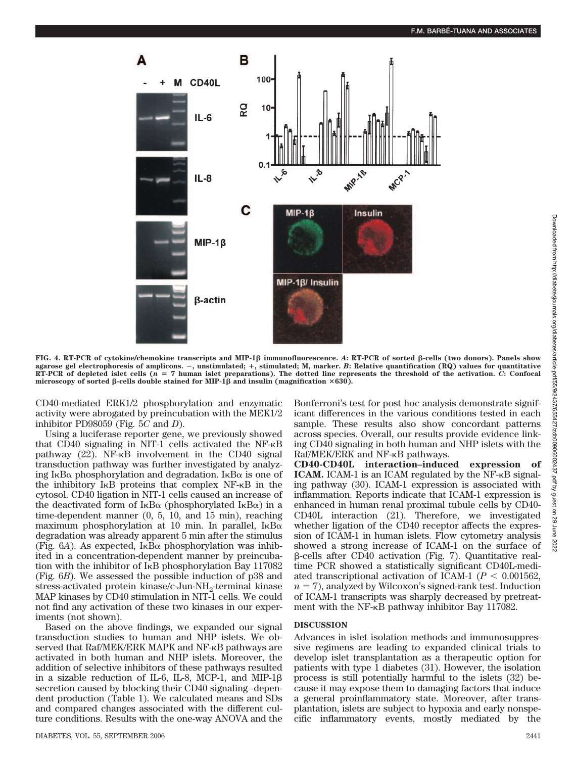

**FIG. 4. RT-PCR of cytokine/chemokine transcripts and MIP-1 immunofluorescence.** *A***: RT-PCR of sorted -cells (two donors). Panels show agarose gel electrophoresis of amplicons. , unstimulated; , stimulated; M, marker.** *B***: Relative quantification (RQ) values for quantitative RT-PCR of depleted islet cells (***n* **7 human islet preparations). The dotted line represents the threshold of the activation.** *C***: Confocal** microscopy of sorted  $\beta$ -cells double stained for MIP-1 $\beta$  and insulin (magnification  $\times 630$ ).

CD40-mediated ERK1/2 phosphorylation and enzymatic activity were abrogated by preincubation with the MEK1/2 inhibitor PD98059 (Fig. 5*C* and *D*).

Using a luciferase reporter gene, we previously showed that CD40 signaling in NIT-1 cells activated the NF- $\kappa$ B pathway  $(22)$ . NF- $\kappa$ B involvement in the CD40 signal transduction pathway was further investigated by analyzing IkB $\alpha$  phosphorylation and degradation. IkB $\alpha$  is one of the inhibitory  $I \kappa B$  proteins that complex NF- $\kappa B$  in the cytosol. CD40 ligation in NIT-1 cells caused an increase of the deactivated form of  $I\kappa B\alpha$  (phosphorylated  $I\kappa B\alpha$ ) in a time-dependent manner (0, 5, 10, and 15 min), reaching maximum phosphorylation at 10 min. In parallel,  $I\kappa B\alpha$ degradation was already apparent 5 min after the stimulus (Fig.  $6A$ ). As expected,  $I \kappa B\alpha$  phosphorylation was inhibited in a concentration-dependent manner by preincubation with the inhibitor of  $I<sub>K</sub>B$  phosphorylation Bay 117082 (Fig. 6*B*). We assessed the possible induction of p38 and stress-activated protein kinase/c-Jun-NH<sub>2</sub>-terminal kinase MAP kinases by CD40 stimulation in NIT-1 cells. We could not find any activation of these two kinases in our experiments (not shown).

Based on the above findings, we expanded our signal transduction studies to human and NHP islets. We observed that Raf/MEK/ERK MAPK and NF-KB pathways are activated in both human and NHP islets. Moreover, the addition of selective inhibitors of these pathways resulted in a sizable reduction of IL-6, IL-8, MCP-1, and MIP-1 $\beta$ secretion caused by blocking their CD40 signaling– dependent production (Table 1). We calculated means and SDs and compared changes associated with the different culture conditions. Results with the one-way ANOVA and the

Bonferroni's test for post hoc analysis demonstrate significant differences in the various conditions tested in each sample. These results also show concordant patterns across species. Overall, our results provide evidence linking CD40 signaling in both human and NHP islets with the Raf/MEK/ERK and NF- $\kappa$ B pathways.

**CD40-CD40L interaction–induced expression of ICAM.** ICAM-1 is an ICAM regulated by the  $NF-\kappa B$  signaling pathway (30). ICAM-1 expression is associated with inflammation. Reports indicate that ICAM-1 expression is enhanced in human renal proximal tubule cells by CD40- CD40L interaction (21). Therefore, we investigated whether ligation of the CD40 receptor affects the expression of ICAM-1 in human islets. Flow cytometry analysis showed a strong increase of ICAM-1 on the surface of  $\beta$ -cells after CD40 activation (Fig. 7). Quantitative realtime PCR showed a statistically significant CD40L-mediated transcriptional activation of ICAM-1 ( $P < 0.001562$ )  $n = 7$ , analyzed by Wilcoxon's signed-rank test. Induction of ICAM-1 transcripts was sharply decreased by pretreatment with the NF- $\kappa$ B pathway inhibitor Bay 117082.

### **DISCUSSION**

Advances in islet isolation methods and immunosuppressive regimens are leading to expanded clinical trials to develop islet transplantation as a therapeutic option for patients with type 1 diabetes (31). However, the isolation process is still potentially harmful to the islets (32) because it may expose them to damaging factors that induce a general proinflammatory state. Moreover, after transplantation, islets are subject to hypoxia and early nonspecific inflammatory events, mostly mediated by the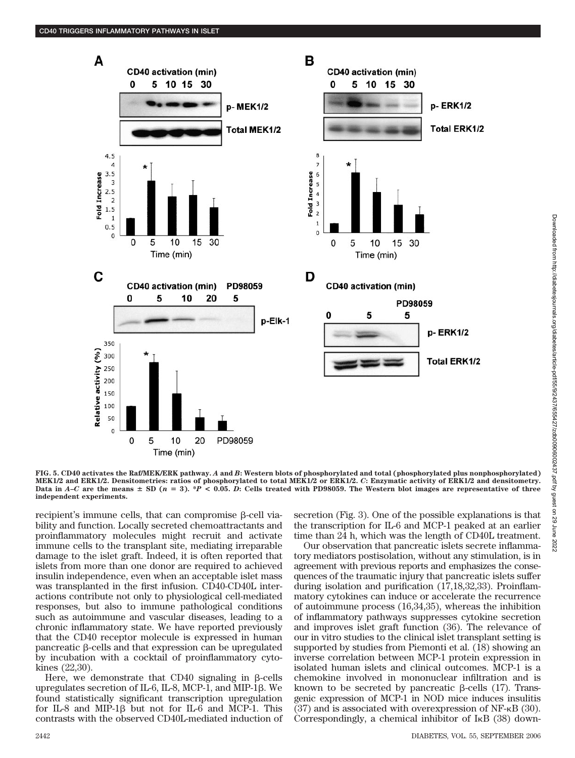

**FIG. 5. CD40 activates the Raf/MEK/ERK pathway.** *A* **and** *B***: Western blots of phosphorylated and total (phosphorylated plus nonphosphorylated) MEK1/2 and ERK1/2. Densitometries: ratios of phosphorylated to total MEK1/2 or ERK1/2.** *C***: Enzymatic activity of ERK1/2 and densitometry.** Data in  $A$ <sup> $-$ </sup> *C* are the means  $\pm$  SD ( $n = 3$ ). \**P* < 0.05. *D*: Cells treated with PD98059. The Western blot images are representative of three **independent experiments.**

recipient's immune cells, that can compromise  $\beta$ -cell viability and function. Locally secreted chemoattractants and proinflammatory molecules might recruit and activate immune cells to the transplant site, mediating irreparable damage to the islet graft. Indeed, it is often reported that islets from more than one donor are required to achieved insulin independence, even when an acceptable islet mass was transplanted in the first infusion. CD40-CD40L interactions contribute not only to physiological cell-mediated responses, but also to immune pathological conditions such as autoimmune and vascular diseases, leading to a chronic inflammatory state. We have reported previously that the CD40 receptor molecule is expressed in human pancreatic  $\beta$ -cells and that expression can be upregulated by incubation with a cocktail of proinflammatory cytokines (22,30).

Here, we demonstrate that CD40 signaling in  $\beta$ -cells upregulates secretion of IL-6, IL-8, MCP-1, and MIP-1 $\beta$ . We found statistically significant transcription upregulation for IL-8 and MIP-1 $\beta$  but not for IL-6 and MCP-1. This contrasts with the observed CD40L-mediated induction of secretion (Fig. 3). One of the possible explanations is that the transcription for IL-6 and MCP-1 peaked at an earlier time than 24 h, which was the length of CD40L treatment.

Our observation that pancreatic islets secrete inflammatory mediators postisolation, without any stimulation, is in agreement with previous reports and emphasizes the consequences of the traumatic injury that pancreatic islets suffer during isolation and purification (17,18,32,33). Proinflammatory cytokines can induce or accelerate the recurrence of autoimmune process (16,34,35), whereas the inhibition of inflammatory pathways suppresses cytokine secretion and improves islet graft function (36). The relevance of our in vitro studies to the clinical islet transplant setting is supported by studies from Piemonti et al. (18) showing an inverse correlation between MCP-1 protein expression in isolated human islets and clinical outcomes. MCP-1 is a chemokine involved in mononuclear infiltration and is known to be secreted by pancreatic  $\beta$ -cells (17). Transgenic expression of MCP-1 in NOD mice induces insulitis  $(37)$  and is associated with overexpression of NF- $\kappa$ B  $(30)$ . Correspondingly, a chemical inhibitor of  $I<sub>K</sub>B$  (38) down-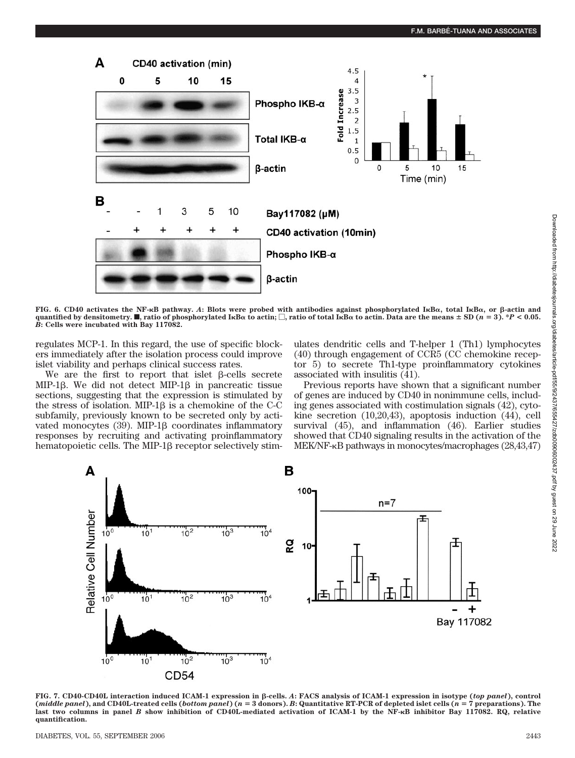

**FIG. 6. CD40 activates the NF-**-**B pathway.** *A***: Blots were probed with antibodies against phosphorylated I**-**B, total I**-**B, or -actin and** quantified by densitometry.  $\blacksquare$ , ratio of phosphorylated IKB $\alpha$  to actin;  $\Box$ , ratio of total IKB $\alpha$  to actin. Data are the means  $\pm$  SD ( $n=3$ ). \* $P$  < 0.05. *B***: Cells were incubated with Bay 117082.**

regulates MCP-1. In this regard, the use of specific blockers immediately after the isolation process could improve islet viability and perhaps clinical success rates.

We are the first to report that islet  $\beta$ -cells secrete MIP-1 $\beta$ . We did not detect MIP-1 $\beta$  in pancreatic tissue sections, suggesting that the expression is stimulated by the stress of isolation. MIP-1 $\beta$  is a chemokine of the C-C subfamily, previously known to be secreted only by activated monocytes  $(39)$ . MIP-1 $\beta$  coordinates inflammatory responses by recruiting and activating proinflammatory hematopoietic cells. The MIP-1 $\beta$  receptor selectively stimulates dendritic cells and T-helper 1 (Th1) lymphocytes (40) through engagement of CCR5 (CC chemokine receptor 5) to secrete Th1-type proinflammatory cytokines associated with insulitis (41).

Previous reports have shown that a significant number of genes are induced by CD40 in nonimmune cells, including genes associated with costimulation signals (42), cytokine secretion (10,20,43), apoptosis induction (44), cell survival (45), and inflammation (46). Earlier studies showed that CD40 signaling results in the activation of the MEK/NF- $\kappa$ B pathways in monocytes/macrophages (28,43,47)



**FIG. 7. CD40-CD40L interaction induced ICAM-1 expression in -cells.** *A***: FACS analysis of ICAM-1 expression in isotype (***top panel***), control (***middle panel***), and CD40L-treated cells (***bottom panel***) (***n* **3 donors).** *B***: Quantitative RT-PCR of depleted islet cells (***n* **7 preparations). The last two columns in panel** *B* **show inhibition of CD40L-mediated activation of ICAM-1 by the NF-**-**B inhibitor Bay 117082. RQ, relative quantification.**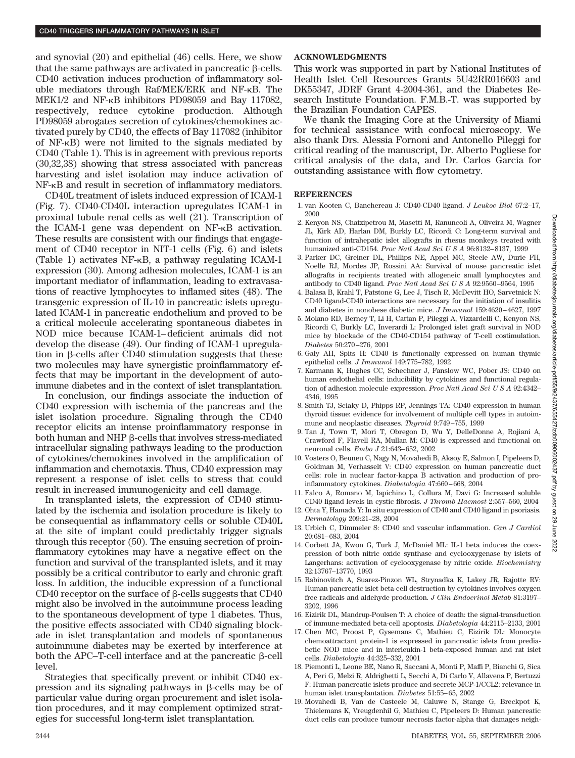and synovial (20) and epithelial (46) cells. Here, we show that the same pathways are activated in pancreatic  $\beta$ -cells. CD40 activation induces production of inflammatory soluble mediators through  $Raf/MEK/ERK$  and  $NF-\kappa B$ . The MEK1/2 and NF- $\kappa$ B inhibitors PD98059 and Bay 117082, respectively, reduce cytokine production. Although PD98059 abrogates secretion of cytokines/chemokines activated purely by CD40, the effects of Bay 117082 (inhibitor of  $NF-\kappa B$ ) were not limited to the signals mediated by CD40 (Table 1). This is in agreement with previous reports (30,32,38) showing that stress associated with pancreas harvesting and islet isolation may induce activation of NF- $\kappa$ B and result in secretion of inflammatory mediators.

CD40L treatment of islets induced expression of ICAM-1 (Fig. 7). CD40-CD40L interaction upregulates ICAM-1 in proximal tubule renal cells as well (21). Transcription of the ICAM-1 gene was dependent on NF- $\kappa$ B activation. These results are consistent with our findings that engagement of CD40 receptor in NIT-1 cells (Fig. 6) and islets (Table 1) activates  $NF-\kappa B$ , a pathway regulating ICAM-1 expression (30). Among adhesion molecules, ICAM-1 is an important mediator of inflammation, leading to extravasations of reactive lymphocytes to inflamed sites (48). The transgenic expression of IL-10 in pancreatic islets upregulated ICAM-1 in pancreatic endothelium and proved to be a critical molecule accelerating spontaneous diabetes in NOD mice because ICAM-1– deficient animals did not develop the disease (49). Our finding of ICAM-1 upregulation in  $\beta$ -cells after CD40 stimulation suggests that these two molecules may have synergistic proinflammatory effects that may be important in the development of autoimmune diabetes and in the context of islet transplantation.

In conclusion, our findings associate the induction of CD40 expression with ischemia of the pancreas and the islet isolation procedure. Signaling through the CD40 receptor elicits an intense proinflammatory response in both human and NHP  $\beta$ -cells that involves stress-mediated intracellular signaling pathways leading to the production of cytokines/chemokines involved in the amplification of inflammation and chemotaxis. Thus, CD40 expression may represent a response of islet cells to stress that could result in increased immunogenicity and cell damage.

In transplanted islets, the expression of CD40 stimulated by the ischemia and isolation procedure is likely to be consequential as inflammatory cells or soluble CD40L at the site of implant could predictably trigger signals through this receptor (50). The ensuing secretion of proinflammatory cytokines may have a negative effect on the function and survival of the transplanted islets, and it may possibly be a critical contributor to early and chronic graft loss. In addition, the inducible expression of a functional CD40 receptor on the surface of  $\beta$ -cells suggests that CD40 might also be involved in the autoimmune process leading to the spontaneous development of type 1 diabetes. Thus, the positive effects associated with CD40 signaling blockade in islet transplantation and models of spontaneous autoimmune diabetes may be exerted by interference at both the APC–T-cell interface and at the pancreatic  $\beta$ -cell level.

Strategies that specifically prevent or inhibit CD40 expression and its signaling pathways in  $\beta$ -cells may be of particular value during organ procurement and islet isolation procedures, and it may complement optimized strategies for successful long-term islet transplantation.

## **ACKNOWLEDGMENTS**

This work was supported in part by National Institutes of Health Islet Cell Resources Grants 5U42RR016603 and DK55347, JDRF Grant 4-2004-361, and the Diabetes Research Institute Foundation. F.M.B.-T. was supported by the Brazilian Foundation CAPES.

We thank the Imaging Core at the University of Miami for technical assistance with confocal microscopy. We also thank Drs. Alessia Fornoni and Antonello Pileggi for critical reading of the manuscript, Dr. Alberto Pugliese for critical analysis of the data, and Dr. Carlos Garcia for outstanding assistance with flow cytometry.

#### **REFERENCES**

- 1. van Kooten C, Banchereau J: CD40-CD40 ligand. *J Leukoc Biol* 67:2–17, 2000
- 2. Kenyon NS, Chatzipetrou M, Masetti M, Ranuncoli A, Oliveira M, Wagner JL, Kirk AD, Harlan DM, Burkly LC, Ricordi C: Long-term survival and function of intrahepatic islet allografts in rhesus monkeys treated with humanized anti-CD154. *Proc Natl Acad Sci U S A* 96:8132– 8137, 1999
- 3. Parker DC, Greiner DL, Phillips NE, Appel MC, Steele AW, Durie FH, Noelle RJ, Mordes JP, Rossini AA: Survival of mouse pancreatic islet allografts in recipients treated with allogeneic small lymphocytes and antibody to CD40 ligand. *Proc Natl Acad SciUSA* 92:9560 –9564, 1995
- 4. Balasa B, Krahl T, Patstone G, Lee J, Tisch R, McDevitt HO, Sarvetnick N: CD40 ligand-CD40 interactions are necessary for the initiation of insulitis and diabetes in nonobese diabetic mice. *J Immunol* 159:4620 – 4627, 1997
- 5. Molano RD, Berney T, Li H, Cattan P, Pileggi A, Vizzardelli C, Kenyon NS, Ricordi C, Burkly LC, Inverardi L: Prolonged islet graft survival in NOD mice by blockade of the CD40-CD154 pathway of T-cell costimulation. *Diabetes* 50:270 –276, 2001
- 6. Galy AH, Spits H: CD40 is functionally expressed on human thymic epithelial cells. *J Immunol* 149:775–782, 1992
- 7. Karmann K, Hughes CC, Schechner J, Fanslow WC, Pober JS: CD40 on human endothelial cells: inducibility by cytokines and functional regulation of adhesion molecule expression. *Proc Natl Acad SciUSA* 92:4342– 4346, 1995
- 8. Smith TJ, Sciaky D, Phipps RP, Jennings TA: CD40 expression in human thyroid tissue: evidence for involvement of multiple cell types in autoimmune and neoplastic diseases. *Thyroid* 9:749 –755, 1999
- 9. Tan J, Town T, Mori T, Obregon D, Wu Y, DelleDonne A, Rojiani A, Crawford F, Flavell RA, Mullan M: CD40 is expressed and functional on neuronal cells. *Embo J* 21:643– 652, 2002
- 10. Vosters O, Beuneu C, Nagy N, Movahedi B, Aksoy E, Salmon I, Pipeleers D, Goldman M, Verhasselt V: CD40 expression on human pancreatic duct cells: role in nuclear factor-kappa B activation and production of proinflammatory cytokines. *Diabetologia* 47:660 – 668, 2004
- 11. Falco A, Romano M, Iapichino L, Collura M, Davi G: Increased soluble CD40 ligand levels in cystic fibrosis. *J Thromb Haemost* 2:557–560, 2004
- 12. Ohta Y, Hamada Y: In situ expression of CD40 and CD40 ligand in psoriasis. *Dermatology* 209:21–28, 2004
- 13. Urbich C, Dimmeler S: CD40 and vascular inflammation. *Can J Cardiol* 20:681– 683, 2004
- 14. Corbett JA, Kwon G, Turk J, McDaniel ML: IL-1 beta induces the coexpression of both nitric oxide synthase and cyclooxygenase by islets of Langerhans: activation of cyclooxygenase by nitric oxide. *Biochemistry* 32:13767–13770, 1993
- 15. Rabinovitch A, Suarez-Pinzon WL, Strynadka K, Lakey JR, Rajotte RV: Human pancreatic islet beta-cell destruction by cytokines involves oxygen free radicals and aldehyde production. *J Clin Endocrinol Metab* 81:3197– 3202, 1996
- 16. Eizirik DL, Mandrup-Poulsen T: A choice of death: the signal-transduction of immune-mediated beta-cell apoptosis. *Diabetologia* 44:2115–2133, 2001
- 17. Chen MC, Proost P, Gysemans C, Mathieu C, Eizirik DL: Monocyte chemoattractant protein-1 is expressed in pancreatic islets from prediabetic NOD mice and in interleukin-1 beta-exposed human and rat islet cells. *Diabetologia* 44:325–332, 2001
- 18. Piemonti L, Leone BE, Nano R, Saccani A, Monti P, Maffi P, Bianchi G, Sica A, Peri G, Melzi R, Aldrighetti L, Secchi A, Di Carlo V, Allavena P, Bertuzzi F: Human pancreatic islets produce and secrete MCP-1/CCL2: relevance in human islet transplantation. *Diabetes* 51:55– 65, 2002
- 19. Movahedi B, Van de Casteele M, Caluwe N, Stange G, Breckpot K, Thielemans K, Vreugdenhil G, Mathieu C, Pipeleers D: Human pancreatic duct cells can produce tumour necrosis factor-alpha that damages neigh-